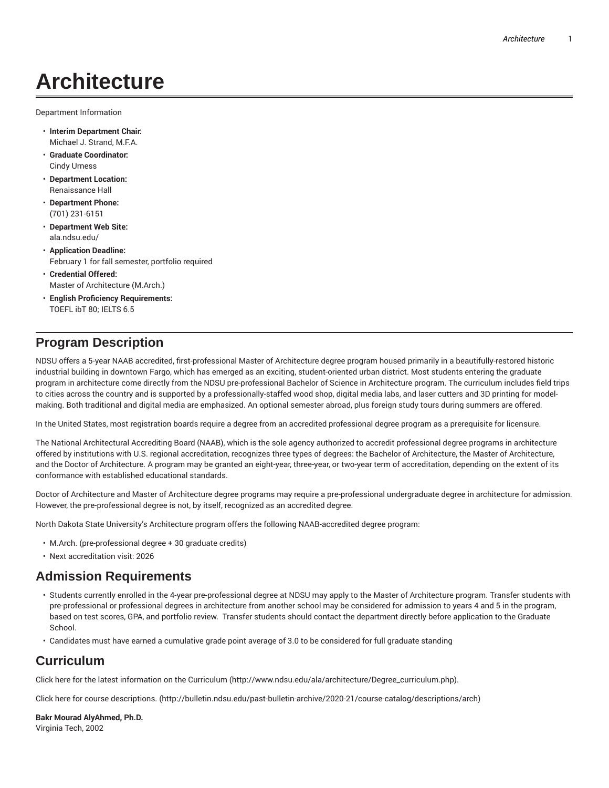# **Architecture**

Department Information

- **Interim Department Chair:** Michael J. Strand, M.F.A.
- **Graduate Coordinator:** Cindy Urness
- **Department Location:** Renaissance Hall
- **Department Phone:** (701) 231-6151
- **Department Web Site:** ala.ndsu.edu/
- **Application Deadline:** February 1 for fall semester, portfolio required
- **Credential Offered:** Master of Architecture (M.Arch.)
- **English Proficiency Requirements:** TOEFL ibT 80; IELTS 6.5

# **Program Description**

NDSU offers a 5-year NAAB accredited, first-professional Master of Architecture degree program housed primarily in a beautifully-restored historic industrial building in downtown Fargo, which has emerged as an exciting, student-oriented urban district. Most students entering the graduate program in architecture come directly from the NDSU pre-professional Bachelor of Science in Architecture program. The curriculum includes field trips to cities across the country and is supported by a professionally-staffed wood shop, digital media labs, and laser cutters and 3D printing for modelmaking. Both traditional and digital media are emphasized. An optional semester abroad, plus foreign study tours during summers are offered.

In the United States, most registration boards require a degree from an accredited professional degree program as a prerequisite for licensure.

The National Architectural Accrediting Board (NAAB), which is the sole agency authorized to accredit professional degree programs in architecture offered by institutions with U.S. regional accreditation, recognizes three types of degrees: the Bachelor of Architecture, the Master of Architecture, and the Doctor of Architecture. A program may be granted an eight-year, three-year, or two-year term of accreditation, depending on the extent of its conformance with established educational standards.

Doctor of Architecture and Master of Architecture degree programs may require a pre-professional undergraduate degree in architecture for admission. However, the pre-professional degree is not, by itself, recognized as an accredited degree.

North Dakota State University's Architecture program offers the following NAAB-accredited degree program:

- M.Arch. (pre-professional degree + 30 graduate credits)
- Next accreditation visit: 2026

# **Admission Requirements**

- Students currently enrolled in the 4-year pre-professional degree at NDSU may apply to the Master of Architecture program. Transfer students with pre-professional or professional degrees in architecture from another school may be considered for admission to years 4 and 5 in the program, based on test scores, GPA, and portfolio review. Transfer students should contact the department directly before application to the Graduate School.
- Candidates must have earned a cumulative grade point average of 3.0 to be considered for full graduate standing

# **Curriculum**

Click here for the latest information on the Curriculum (http://www.ndsu.edu/ala/architecture/Degree\_curriculum.php).

Click here for course descriptions. (http://bulletin.ndsu.edu/past-bulletin-archive/2020-21/course-catalog/descriptions/arch)

**Bakr Mourad AlyAhmed, Ph.D.** Virginia Tech, 2002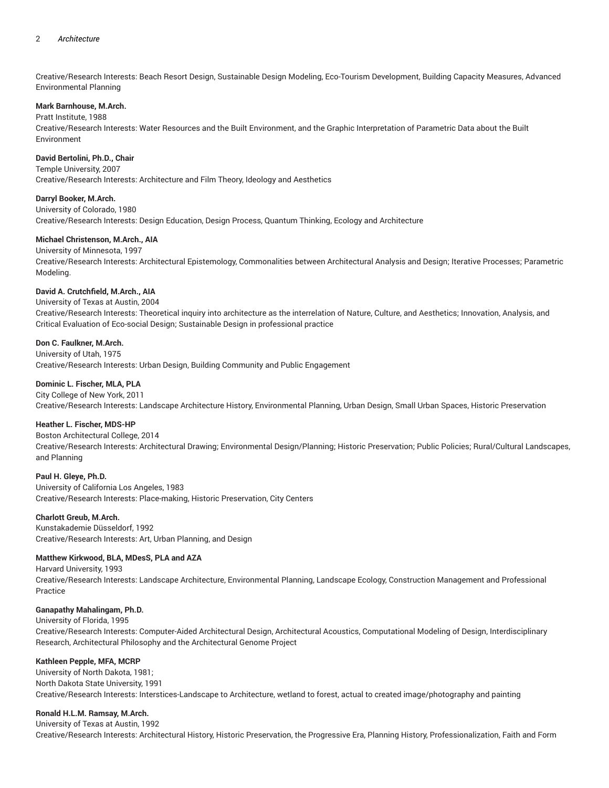## 2 *Architecture*

Creative/Research Interests: Beach Resort Design, Sustainable Design Modeling, Eco-Tourism Development, Building Capacity Measures, Advanced Environmental Planning

# **Mark Barnhouse, M.Arch.**

Pratt Institute, 1988

Creative/Research Interests: Water Resources and the Built Environment, and the Graphic Interpretation of Parametric Data about the Built Environment

# **David Bertolini, Ph.D., Chair**

Temple University, 2007 Creative/Research Interests: Architecture and Film Theory, Ideology and Aesthetics

**Darryl Booker, M.Arch.**

University of Colorado, 1980

Creative/Research Interests: Design Education, Design Process, Quantum Thinking, Ecology and Architecture

# **Michael Christenson, M.Arch., AIA**

University of Minnesota, 1997 Creative/Research Interests: Architectural Epistemology, Commonalities between Architectural Analysis and Design; Iterative Processes; Parametric Modeling.

# **David A. Crutchfield, M.Arch., AIA**

University of Texas at Austin, 2004 Creative/Research Interests: Theoretical inquiry into architecture as the interrelation of Nature, Culture, and Aesthetics; Innovation, Analysis, and Critical Evaluation of Eco-social Design; Sustainable Design in professional practice

# **Don C. Faulkner, M.Arch.**

University of Utah, 1975 Creative/Research Interests: Urban Design, Building Community and Public Engagement

# **Dominic L. Fischer, MLA, PLA**

City College of New York, 2011 Creative/Research Interests: Landscape Architecture History, Environmental Planning, Urban Design, Small Urban Spaces, Historic Preservation

#### **Heather L. Fischer, MDS-HP**

Boston Architectural College, 2014 Creative/Research Interests: Architectural Drawing; Environmental Design/Planning; Historic Preservation; Public Policies; Rural/Cultural Landscapes, and Planning

#### **Paul H. Gleye, Ph.D.**

University of California Los Angeles, 1983 Creative/Research Interests: Place-making, Historic Preservation, City Centers

#### **Charlott Greub, M.Arch.**

Kunstakademie Düsseldorf, 1992 Creative/Research Interests: Art, Urban Planning, and Design

# **Matthew Kirkwood, BLA, MDesS, PLA and AZA**

Harvard University, 1993 Creative/Research Interests: Landscape Architecture, Environmental Planning, Landscape Ecology, Construction Management and Professional Practice

#### **Ganapathy Mahalingam, Ph.D.**

#### University of Florida, 1995

Creative/Research Interests: Computer-Aided Architectural Design, Architectural Acoustics, Computational Modeling of Design, Interdisciplinary Research, Architectural Philosophy and the Architectural Genome Project

#### **Kathleen Pepple, MFA, MCRP**

University of North Dakota, 1981; North Dakota State University, 1991 Creative/Research Interests: Interstices-Landscape to Architecture, wetland to forest, actual to created image/photography and painting

#### **Ronald H.L.M. Ramsay, M.Arch.**

University of Texas at Austin, 1992 Creative/Research Interests: Architectural History, Historic Preservation, the Progressive Era, Planning History, Professionalization, Faith and Form